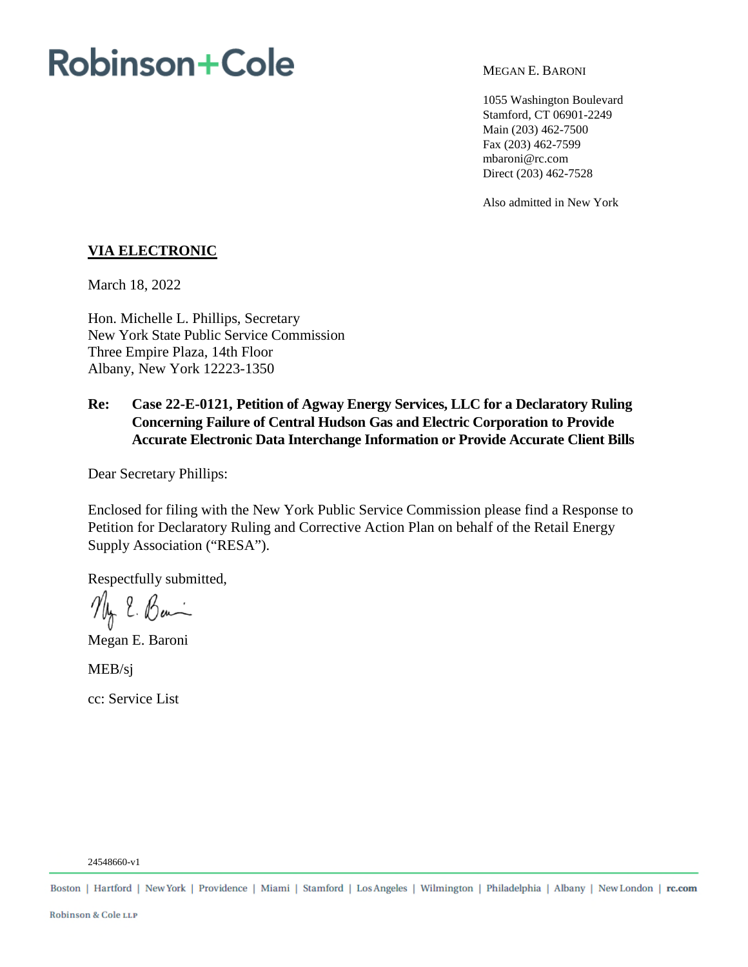# **Robinson+Cole**

MEGAN E. BARONI

1055 Washington Boulevard Stamford, CT 06901-2249 Main (203) 462-7500 Fax (203) 462-7599 mbaroni@rc.com Direct (203) 462-7528

Also admitted in New York

## **VIA ELECTRONIC**

March 18, 2022

Hon. Michelle L. Phillips, Secretary New York State Public Service Commission Three Empire Plaza, 14th Floor Albany, New York 12223-1350

# **Re: Case 22-E-0121, Petition of Agway Energy Services, LLC for a Declaratory Ruling Concerning Failure of Central Hudson Gas and Electric Corporation to Provide Accurate Electronic Data Interchange Information or Provide Accurate Client Bills**

Dear Secretary Phillips:

Enclosed for filing with the New York Public Service Commission please find a Response to Petition for Declaratory Ruling and Corrective Action Plan on behalf of the Retail Energy Supply Association ("RESA").

Respectfully submitted,

My E. Ban

Megan E. Baroni

MEB/sj

cc: Service List

24548660-v1

Boston | Hartford | New York | Providence | Miami | Stamford | Los Angeles | Wilmington | Philadelphia | Albany | New London | rc.com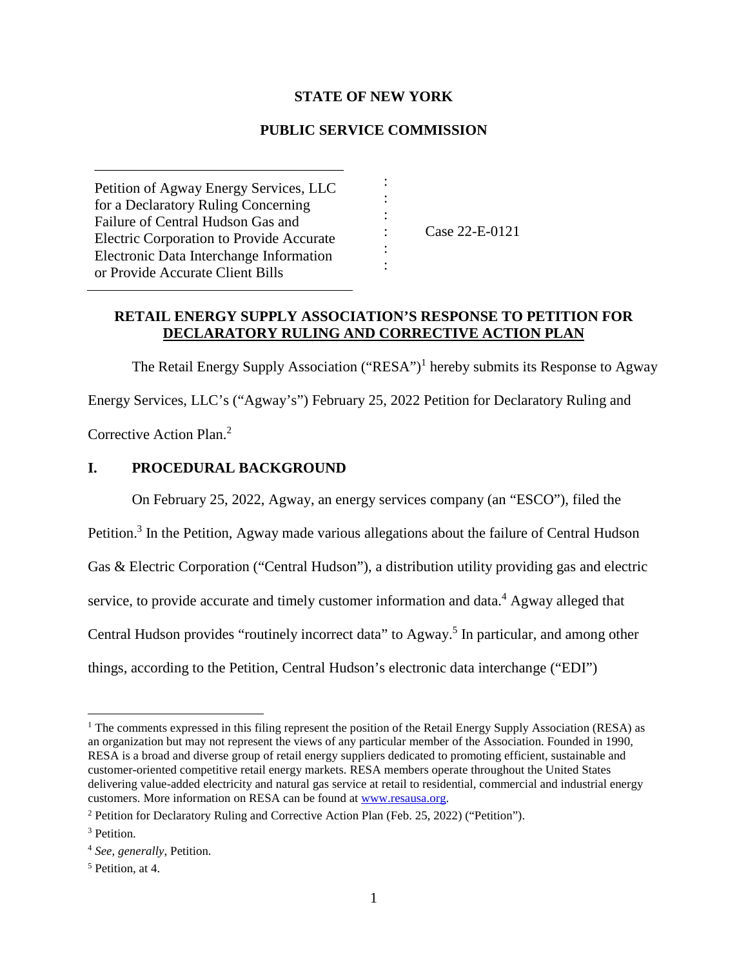## **STATE OF NEW YORK**

## **PUBLIC SERVICE COMMISSION**

: : : : : :

Petition of Agway Energy Services, LLC for a Declaratory Ruling Concerning Failure of Central Hudson Gas and Electric Corporation to Provide Accurate Electronic Data Interchange Information or Provide Accurate Client Bills

\_\_\_\_\_\_\_\_\_\_\_\_\_\_\_\_\_\_\_\_\_\_\_\_\_\_\_\_\_\_\_\_\_\_

Case 22-E-0121

## **RETAIL ENERGY SUPPLY ASSOCIATION'S RESPONSE TO PETITION FOR DECLARATORY RULING AND CORRECTIVE ACTION PLAN**

The Retail Energy Supply Association ("RESA")<sup>1</sup> hereby submits its Response to Agway Energy Services, LLC's ("Agway's") February 25, 2022 Petition for Declaratory Ruling and

Corrective Action Plan.<sup>2</sup>

### **I. PROCEDURAL BACKGROUND**

On February 25, 2022, Agway, an energy services company (an "ESCO"), filed the

Petition.<sup>3</sup> In the Petition, Agway made various allegations about the failure of Central Hudson

Gas & Electric Corporation ("Central Hudson"), a distribution utility providing gas and electric

service, to provide accurate and timely customer information and data.<sup>4</sup> Agway alleged that

Central Hudson provides "routinely incorrect data" to Agway.<sup>5</sup> In particular, and among other

things, according to the Petition, Central Hudson's electronic data interchange ("EDI")

<sup>&</sup>lt;sup>1</sup> The comments expressed in this filing represent the position of the Retail Energy Supply Association (RESA) as an organization but may not represent the views of any particular member of the Association. Founded in 1990, RESA is a broad and diverse group of retail energy suppliers dedicated to promoting efficient, sustainable and customer-oriented competitive retail energy markets. RESA members operate throughout the United States delivering value-added electricity and natural gas service at retail to residential, commercial and industrial energy customers. More information on RESA can be found at www.resausa.org.

<sup>&</sup>lt;sup>2</sup> Petition for Declaratory Ruling and Corrective Action Plan (Feb. 25, 2022) ("Petition").

<sup>&</sup>lt;sup>3</sup> Petition.

<sup>4</sup> *See, generally*, Petition.

<sup>5</sup> Petition, at 4.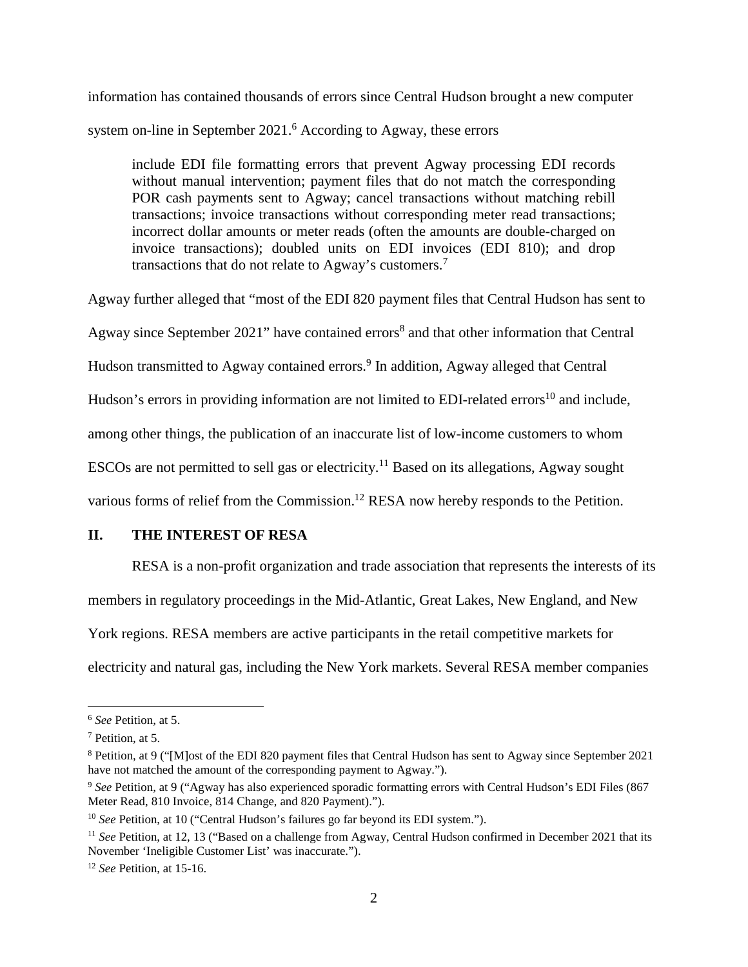information has contained thousands of errors since Central Hudson brought a new computer system on-line in September 2021.<sup>6</sup> According to Agway, these errors

include EDI file formatting errors that prevent Agway processing EDI records without manual intervention; payment files that do not match the corresponding POR cash payments sent to Agway; cancel transactions without matching rebill transactions; invoice transactions without corresponding meter read transactions; incorrect dollar amounts or meter reads (often the amounts are double-charged on invoice transactions); doubled units on EDI invoices (EDI 810); and drop transactions that do not relate to Agway's customers.<sup>7</sup>

Agway further alleged that "most of the EDI 820 payment files that Central Hudson has sent to Agway since September 2021" have contained errors<sup>8</sup> and that other information that Central Hudson transmitted to Agway contained errors.<sup>9</sup> In addition, Agway alleged that Central Hudson's errors in providing information are not limited to EDI-related errors<sup>10</sup> and include, among other things, the publication of an inaccurate list of low-income customers to whom ESCOs are not permitted to sell gas or electricity.<sup>11</sup> Based on its allegations, Agway sought various forms of relief from the Commission.<sup>12</sup> RESA now hereby responds to the Petition.

## **II. THE INTEREST OF RESA**

RESA is a non-profit organization and trade association that represents the interests of its members in regulatory proceedings in the Mid-Atlantic, Great Lakes, New England, and New York regions. RESA members are active participants in the retail competitive markets for electricity and natural gas, including the New York markets. Several RESA member companies

<sup>6</sup> *See* Petition, at 5.

<sup>7</sup> Petition, at 5.

<sup>&</sup>lt;sup>8</sup> Petition, at 9 ("[M]ost of the EDI 820 payment files that Central Hudson has sent to Agway since September 2021 have not matched the amount of the corresponding payment to Agway.").

<sup>9</sup> *See* Petition, at 9 ("Agway has also experienced sporadic formatting errors with Central Hudson's EDI Files (867 Meter Read, 810 Invoice, 814 Change, and 820 Payment).").

<sup>&</sup>lt;sup>10</sup> *See* Petition, at 10 ("Central Hudson's failures go far beyond its EDI system.").

<sup>11</sup> *See* Petition, at 12, 13 ("Based on a challenge from Agway, Central Hudson confirmed in December 2021 that its November 'Ineligible Customer List' was inaccurate.").

<sup>12</sup> *See* Petition, at 15-16.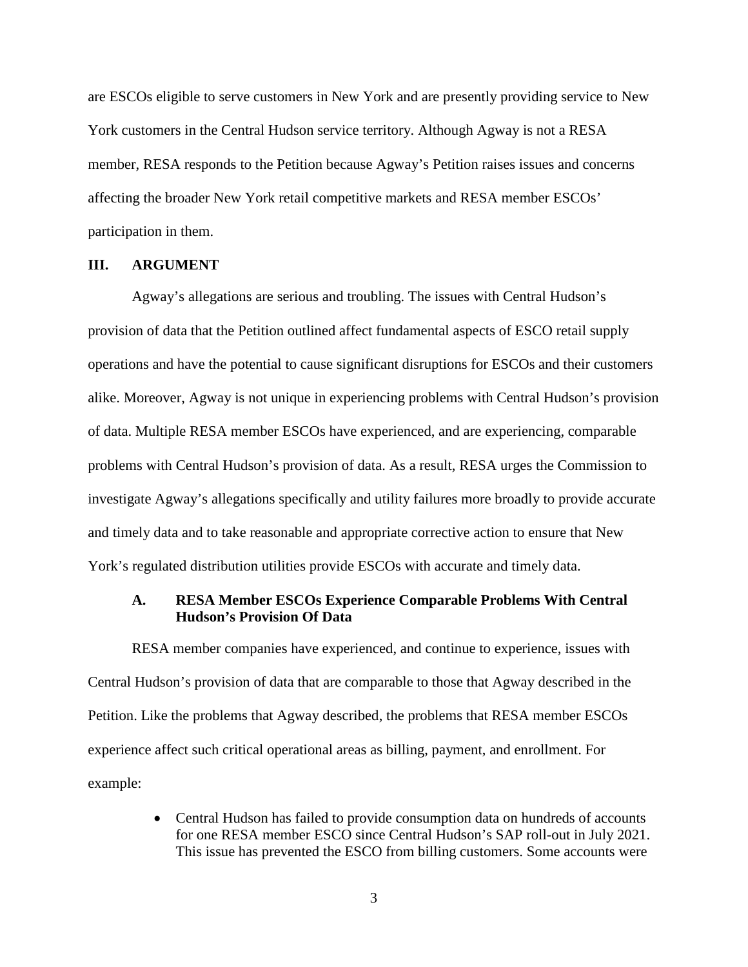are ESCOs eligible to serve customers in New York and are presently providing service to New York customers in the Central Hudson service territory. Although Agway is not a RESA member, RESA responds to the Petition because Agway's Petition raises issues and concerns affecting the broader New York retail competitive markets and RESA member ESCOs' participation in them.

#### **III. ARGUMENT**

Agway's allegations are serious and troubling. The issues with Central Hudson's provision of data that the Petition outlined affect fundamental aspects of ESCO retail supply operations and have the potential to cause significant disruptions for ESCOs and their customers alike. Moreover, Agway is not unique in experiencing problems with Central Hudson's provision of data. Multiple RESA member ESCOs have experienced, and are experiencing, comparable problems with Central Hudson's provision of data. As a result, RESA urges the Commission to investigate Agway's allegations specifically and utility failures more broadly to provide accurate and timely data and to take reasonable and appropriate corrective action to ensure that New York's regulated distribution utilities provide ESCOs with accurate and timely data.

## **A. RESA Member ESCOs Experience Comparable Problems With Central Hudson's Provision Of Data**

RESA member companies have experienced, and continue to experience, issues with Central Hudson's provision of data that are comparable to those that Agway described in the Petition. Like the problems that Agway described, the problems that RESA member ESCOs experience affect such critical operational areas as billing, payment, and enrollment. For example:

> • Central Hudson has failed to provide consumption data on hundreds of accounts for one RESA member ESCO since Central Hudson's SAP roll-out in July 2021. This issue has prevented the ESCO from billing customers. Some accounts were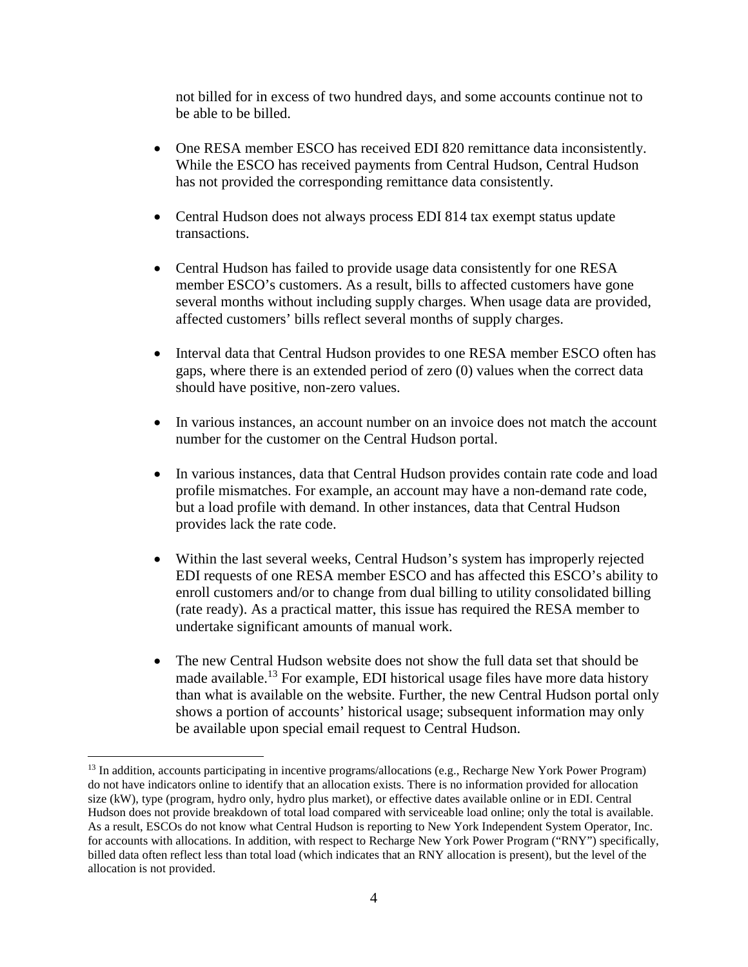not billed for in excess of two hundred days, and some accounts continue not to be able to be billed.

- One RESA member ESCO has received EDI 820 remittance data inconsistently. While the ESCO has received payments from Central Hudson, Central Hudson has not provided the corresponding remittance data consistently.
- Central Hudson does not always process EDI 814 tax exempt status update transactions.
- Central Hudson has failed to provide usage data consistently for one RESA member ESCO's customers. As a result, bills to affected customers have gone several months without including supply charges. When usage data are provided, affected customers' bills reflect several months of supply charges.
- Interval data that Central Hudson provides to one RESA member ESCO often has gaps, where there is an extended period of zero (0) values when the correct data should have positive, non-zero values.
- In various instances, an account number on an invoice does not match the account number for the customer on the Central Hudson portal.
- In various instances, data that Central Hudson provides contain rate code and load profile mismatches. For example, an account may have a non-demand rate code, but a load profile with demand. In other instances, data that Central Hudson provides lack the rate code.
- Within the last several weeks, Central Hudson's system has improperly rejected EDI requests of one RESA member ESCO and has affected this ESCO's ability to enroll customers and/or to change from dual billing to utility consolidated billing (rate ready). As a practical matter, this issue has required the RESA member to undertake significant amounts of manual work.
- The new Central Hudson website does not show the full data set that should be made available.<sup>13</sup> For example, EDI historical usage files have more data history than what is available on the website. Further, the new Central Hudson portal only shows a portion of accounts' historical usage; subsequent information may only be available upon special email request to Central Hudson.

<sup>&</sup>lt;sup>13</sup> In addition, accounts participating in incentive programs/allocations (e.g., Recharge New York Power Program) do not have indicators online to identify that an allocation exists. There is no information provided for allocation size (kW), type (program, hydro only, hydro plus market), or effective dates available online or in EDI. Central Hudson does not provide breakdown of total load compared with serviceable load online; only the total is available. As a result, ESCOs do not know what Central Hudson is reporting to New York Independent System Operator, Inc. for accounts with allocations. In addition, with respect to Recharge New York Power Program ("RNY") specifically, billed data often reflect less than total load (which indicates that an RNY allocation is present), but the level of the allocation is not provided.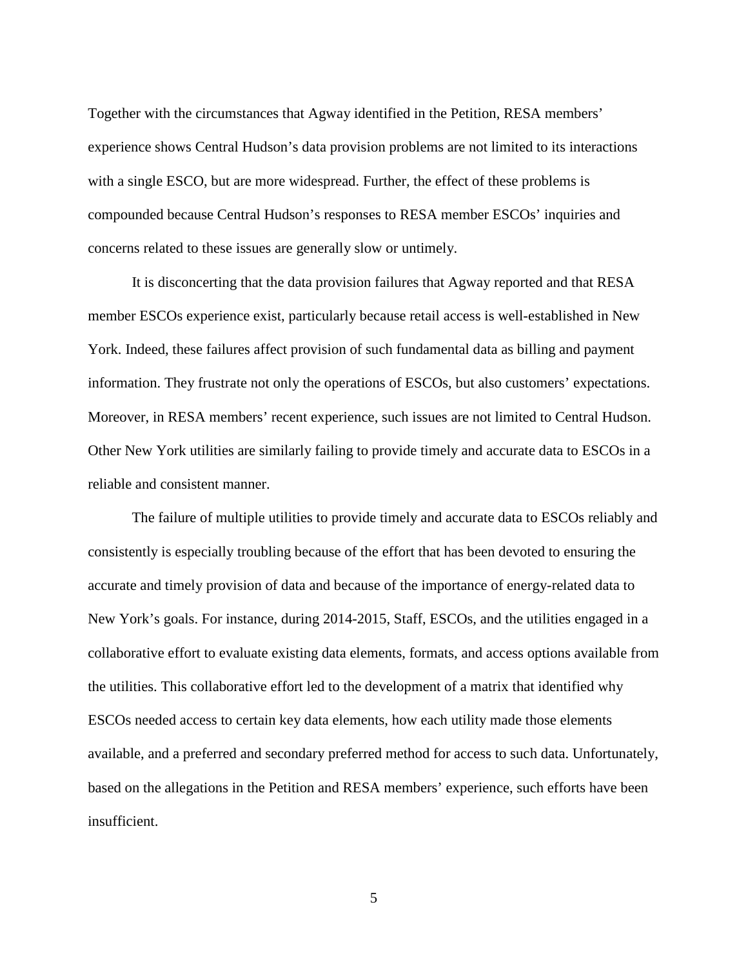Together with the circumstances that Agway identified in the Petition, RESA members' experience shows Central Hudson's data provision problems are not limited to its interactions with a single ESCO, but are more widespread. Further, the effect of these problems is compounded because Central Hudson's responses to RESA member ESCOs' inquiries and concerns related to these issues are generally slow or untimely.

It is disconcerting that the data provision failures that Agway reported and that RESA member ESCOs experience exist, particularly because retail access is well-established in New York. Indeed, these failures affect provision of such fundamental data as billing and payment information. They frustrate not only the operations of ESCOs, but also customers' expectations. Moreover, in RESA members' recent experience, such issues are not limited to Central Hudson. Other New York utilities are similarly failing to provide timely and accurate data to ESCOs in a reliable and consistent manner.

The failure of multiple utilities to provide timely and accurate data to ESCOs reliably and consistently is especially troubling because of the effort that has been devoted to ensuring the accurate and timely provision of data and because of the importance of energy-related data to New York's goals. For instance, during 2014-2015, Staff, ESCOs, and the utilities engaged in a collaborative effort to evaluate existing data elements, formats, and access options available from the utilities. This collaborative effort led to the development of a matrix that identified why ESCOs needed access to certain key data elements, how each utility made those elements available, and a preferred and secondary preferred method for access to such data. Unfortunately, based on the allegations in the Petition and RESA members' experience, such efforts have been insufficient.

5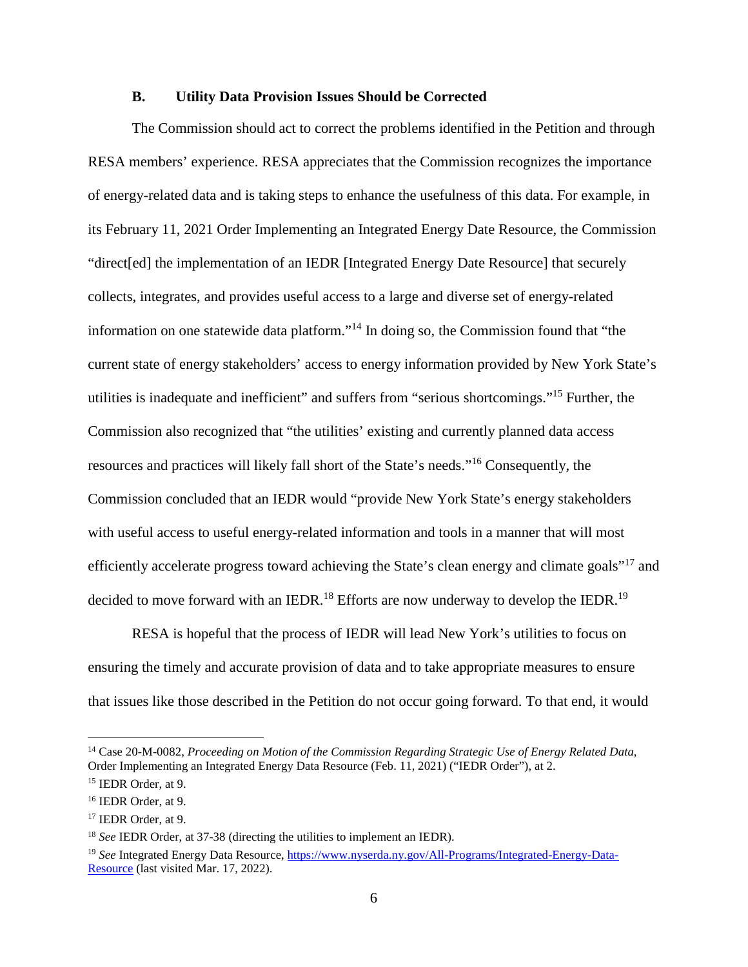### **B. Utility Data Provision Issues Should be Corrected**

The Commission should act to correct the problems identified in the Petition and through RESA members' experience. RESA appreciates that the Commission recognizes the importance of energy-related data and is taking steps to enhance the usefulness of this data. For example, in its February 11, 2021 Order Implementing an Integrated Energy Date Resource, the Commission "direct[ed] the implementation of an IEDR [Integrated Energy Date Resource] that securely collects, integrates, and provides useful access to a large and diverse set of energy-related information on one statewide data platform."<sup>14</sup> In doing so, the Commission found that "the current state of energy stakeholders' access to energy information provided by New York State's utilities is inadequate and inefficient" and suffers from "serious shortcomings."<sup>15</sup> Further, the Commission also recognized that "the utilities' existing and currently planned data access resources and practices will likely fall short of the State's needs."<sup>16</sup> Consequently, the Commission concluded that an IEDR would "provide New York State's energy stakeholders with useful access to useful energy-related information and tools in a manner that will most efficiently accelerate progress toward achieving the State's clean energy and climate goals"<sup>17</sup> and decided to move forward with an IEDR.<sup>18</sup> Efforts are now underway to develop the IEDR.<sup>19</sup>

RESA is hopeful that the process of IEDR will lead New York's utilities to focus on ensuring the timely and accurate provision of data and to take appropriate measures to ensure that issues like those described in the Petition do not occur going forward. To that end, it would

<sup>14</sup> Case 20-M-0082, *Proceeding on Motion of the Commission Regarding Strategic Use of Energy Related Data*, Order Implementing an Integrated Energy Data Resource (Feb. 11, 2021) ("IEDR Order"), at 2.

<sup>15</sup> IEDR Order, at 9. <sup>16</sup> IEDR Order, at 9.

<sup>17</sup> IEDR Order, at 9.

<sup>18</sup> *See* IEDR Order, at 37-38 (directing the utilities to implement an IEDR).

<sup>19</sup> *See* Integrated Energy Data Resource, https://www.nyserda.ny.gov/All-Programs/Integrated-Energy-Data-Resource (last visited Mar. 17, 2022).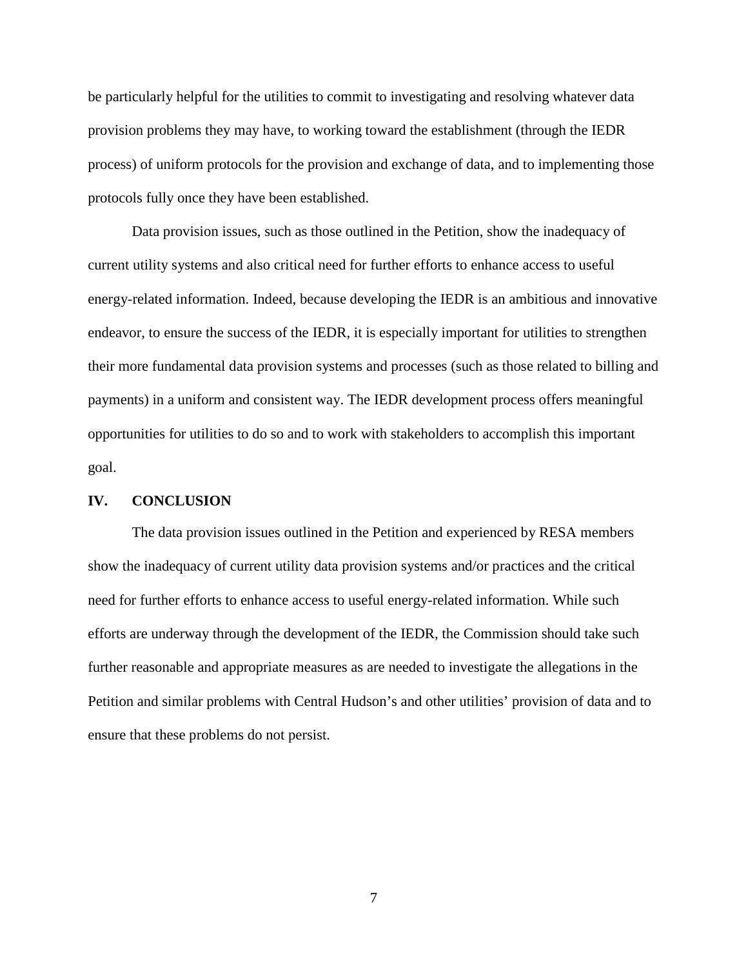be particularly helpful for the utilities to commit to investigating and resolving whatever data provision problems they may have, to working toward the establishment (through the IEDR process) of uniform protocols for the provision and exchange of data, and to implementing those protocols fully once they have been established.

Data provision issues, such as those outlined in the Petition, show the inadequacy of current utility systems and also critical need for further efforts to enhance access to useful energy-related information. Indeed, because developing the IEDR is an ambitious and innovative endeavor, to ensure the success of the IEDR, it is especially important for utilities to strengthen their more fundamental data provision systems and processes (such as those related to billing and payments) in a uniform and consistent way. The IEDR development process offers meaningful opportunities for utilities to do so and to work with stakeholders to accomplish this important goal.

#### **IV. CONCLUSION**

The data provision issues outlined in the Petition and experienced by RESA members show the inadequacy of current utility data provision systems and/or practices and the critical need for further efforts to enhance access to useful energy-related information. While such efforts are underway through the development of the IEDR, the Commission should take such further reasonable and appropriate measures as are needed to investigate the allegations in the Petition and similar problems with Central Hudson's and other utilities' provision of data and to ensure that these problems do not persist.

7